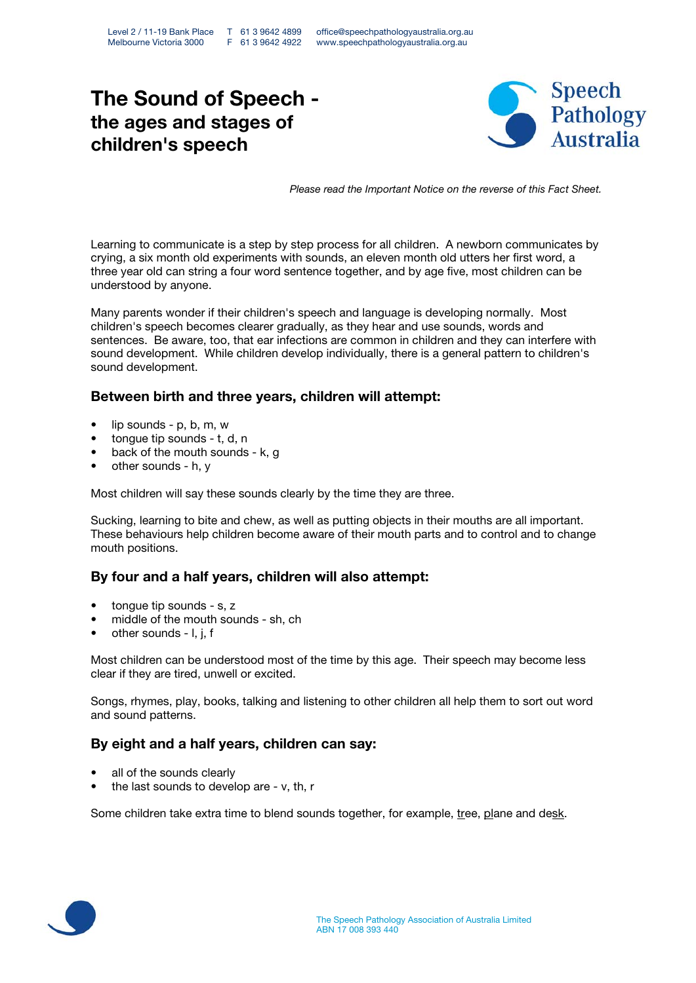# The Sound of Speech the ages and stages of children's speech



Please read the Important Notice on the reverse of this Fact Sheet.

Learning to communicate is a step by step process for all children. A newborn communicates by crying, a six month old experiments with sounds, an eleven month old utters her first word, a three year old can string a four word sentence together, and by age five, most children can be understood by anyone.

Many parents wonder if their children's speech and language is developing normally. Most children's speech becomes clearer gradually, as they hear and use sounds, words and sentences. Be aware, too, that ear infections are common in children and they can interfere with sound development. While children develop individually, there is a general pattern to children's sound development.

## Between birth and three years, children will attempt:

- lip sounds p, b, m, w
- tonque tip sounds t, d, n
- back of the mouth sounds k, g
- other sounds h, y

Most children will say these sounds clearly by the time they are three.

Sucking, learning to bite and chew, as well as putting objects in their mouths are all important. These behaviours help children become aware of their mouth parts and to control and to change mouth positions.

## By four and a half years, children will also attempt:

- tongue tip sounds s, z
- middle of the mouth sounds sh, ch
- other sounds I, j, f

Most children can be understood most of the time by this age. Their speech may become less clear if they are tired, unwell or excited.

Songs, rhymes, play, books, talking and listening to other children all help them to sort out word and sound patterns.

#### By eight and a half years, children can say:

- all of the sounds clearly
- the last sounds to develop are v, th, r

Some children take extra time to blend sounds together, for example, tree, plane and desk.